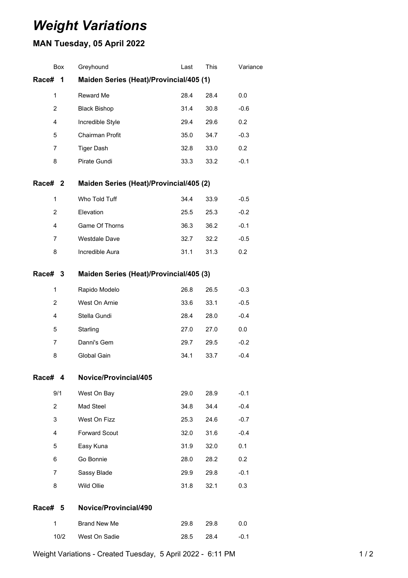## *Weight Variations*

## **MAN Tuesday, 05 April 2022**

|                                                       | <b>Box</b>     | Greyhound                               | Last | This | Variance |  |  |  |
|-------------------------------------------------------|----------------|-----------------------------------------|------|------|----------|--|--|--|
| Race#                                                 | 1              | Maiden Series (Heat)/Provincial/405 (1) |      |      |          |  |  |  |
|                                                       | 1              | Reward Me                               | 28.4 | 28.4 | 0.0      |  |  |  |
|                                                       | $\overline{c}$ | <b>Black Bishop</b>                     | 31.4 | 30.8 | $-0.6$   |  |  |  |
| 4<br>5                                                |                | Incredible Style                        | 29.4 | 29.6 | 0.2      |  |  |  |
|                                                       |                | Chairman Profit                         | 35.0 | 34.7 | $-0.3$   |  |  |  |
|                                                       | 7              | <b>Tiger Dash</b>                       | 32.8 | 33.0 | 0.2      |  |  |  |
|                                                       | 8              | Pirate Gundi                            | 33.3 | 33.2 | $-0.1$   |  |  |  |
| Race# <sub>2</sub>                                    |                | Maiden Series (Heat)/Provincial/405 (2) |      |      |          |  |  |  |
|                                                       | 1              | Who Told Tuff                           | 34.4 | 33.9 | $-0.5$   |  |  |  |
|                                                       | $\overline{2}$ | Elevation                               | 25.5 | 25.3 | $-0.2$   |  |  |  |
|                                                       | 4              | Game Of Thorns                          | 36.3 | 36.2 | $-0.1$   |  |  |  |
|                                                       | 7              | <b>Westdale Dave</b>                    | 32.7 | 32.2 | $-0.5$   |  |  |  |
|                                                       | 8              | Incredible Aura                         | 31.1 | 31.3 | 0.2      |  |  |  |
| Maiden Series (Heat)/Provincial/405 (3)<br>Race#<br>3 |                |                                         |      |      |          |  |  |  |
|                                                       | 1              | Rapido Modelo                           | 26.8 | 26.5 | $-0.3$   |  |  |  |
|                                                       | $\overline{c}$ | West On Arnie                           | 33.6 | 33.1 | $-0.5$   |  |  |  |
| 4<br>5<br>7                                           |                | Stella Gundi                            | 28.4 | 28.0 | $-0.4$   |  |  |  |
|                                                       |                | Starling                                | 27.0 | 27.0 | 0.0      |  |  |  |
|                                                       |                | Danni's Gem                             | 29.7 | 29.5 | $-0.2$   |  |  |  |
|                                                       | 8              | Global Gain                             | 34.1 | 33.7 | $-0.4$   |  |  |  |
| Race#                                                 | 4              | Novice/Provincial/405                   |      |      |          |  |  |  |
|                                                       | 9/1            | West On Bay                             | 29.0 | 28.9 | $-0.1$   |  |  |  |
|                                                       | $\overline{2}$ | Mad Steel                               | 34.8 | 34.4 | $-0.4$   |  |  |  |
|                                                       | 3              | West On Fizz                            | 25.3 | 24.6 | $-0.7$   |  |  |  |
|                                                       | 4              | <b>Forward Scout</b>                    | 32.0 | 31.6 | $-0.4$   |  |  |  |
|                                                       | 5              | Easy Kuna                               | 31.9 | 32.0 | 0.1      |  |  |  |
|                                                       | 6              | Go Bonnie                               | 28.0 | 28.2 | 0.2      |  |  |  |
|                                                       | 7              | Sassy Blade                             | 29.9 | 29.8 | $-0.1$   |  |  |  |
|                                                       | 8              | Wild Ollie                              | 31.8 | 32.1 | 0.3      |  |  |  |
| Race# 5                                               |                | Novice/Provincial/490                   |      |      |          |  |  |  |
|                                                       | 1              | <b>Brand New Me</b>                     | 29.8 | 29.8 | 0.0      |  |  |  |
|                                                       | 10/2           | West On Sadie                           | 28.5 | 28.4 | $-0.1$   |  |  |  |
|                                                       |                |                                         |      |      |          |  |  |  |

Weight Variations - Created Tuesday, 5 April 2022 - 6:11 PM 1/2